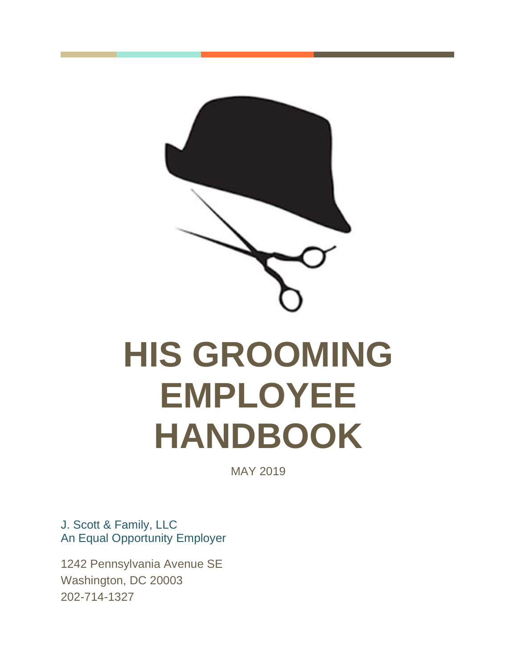<span id="page-0-0"></span>

# **HIS GROOMING EMPLOYEE HANDBOOK**

MAY 2019

J. Scott & Family, LLC An Equal Opportunity Employer

1242 Pennsylvania Avenue SE Washington, DC 20003 202-714-1327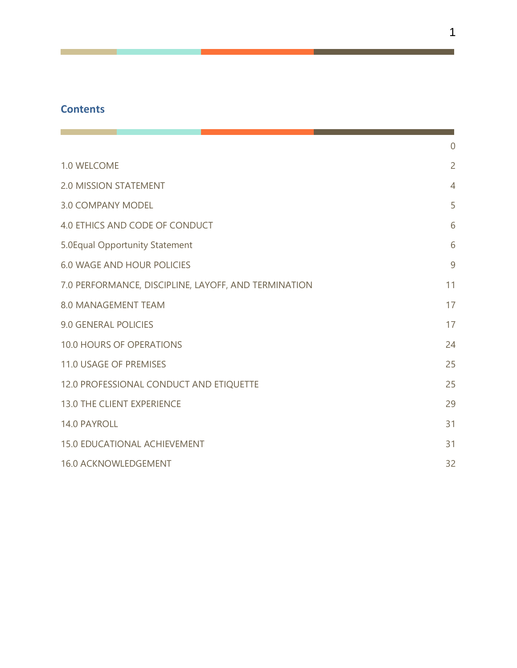#### **Contents**

**Contract Contract** 

|                                                      | $\overline{0}$ |
|------------------------------------------------------|----------------|
| 1.0 WELCOME                                          | $\overline{2}$ |
| <b>2.0 MISSION STATEMENT</b>                         | $\overline{4}$ |
| <b>3.0 COMPANY MODEL</b>                             | 5              |
| 4.0 ETHICS AND CODE OF CONDUCT                       | 6              |
| 5.0 Equal Opportunity Statement                      | 6              |
| <b>6.0 WAGE AND HOUR POLICIES</b>                    | $\overline{9}$ |
| 7.0 PERFORMANCE, DISCIPLINE, LAYOFF, AND TERMINATION | 11             |
| <b>8.0 MANAGEMENT TEAM</b>                           | 17             |
| <b>9.0 GENERAL POLICIES</b>                          | 17             |
| <b>10.0 HOURS OF OPERATIONS</b>                      | 24             |
| <b>11.0 USAGE OF PREMISES</b>                        | 25             |
| 12.0 PROFESSIONAL CONDUCT AND ETIQUETTE              | 25             |
| <b>13.0 THE CLIENT EXPERIENCE</b>                    | 29             |
| 14.0 PAYROLL                                         | 31             |
| <b>15.0 EDUCATIONAL ACHIEVEMENT</b>                  | 31             |
| 16.0 ACKNOWLEDGEMENT                                 | 32             |

m.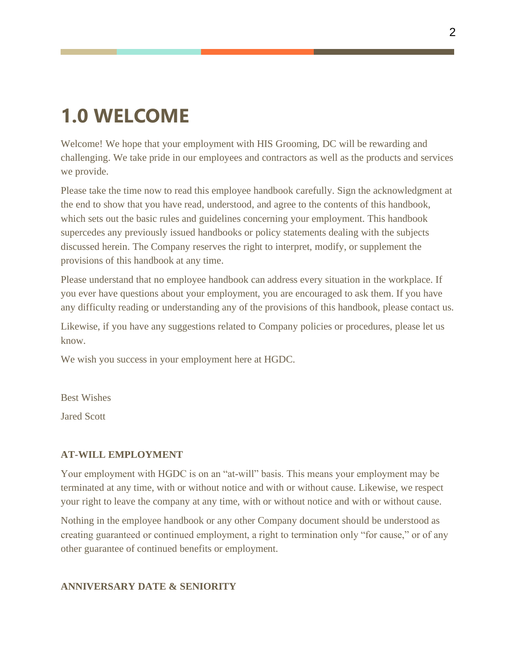### <span id="page-2-0"></span>**1.0 WELCOME**

Welcome! We hope that your employment with HIS Grooming, DC will be rewarding and challenging. We take pride in our employees and contractors as well as the products and services we provide.

Please take the time now to read this employee handbook carefully. Sign the acknowledgment at the end to show that you have read, understood, and agree to the contents of this handbook, which sets out the basic rules and guidelines concerning your employment. This handbook supercedes any previously issued handbooks or policy statements dealing with the subjects discussed herein. The Company reserves the right to interpret, modify, or supplement the provisions of this handbook at any time.

Please understand that no employee handbook can address every situation in the workplace. If you ever have questions about your employment, you are encouraged to ask them. If you have any difficulty reading or understanding any of the provisions of this handbook, please contact us.

Likewise, if you have any suggestions related to Company policies or procedures, please let us know.

We wish you success in your employment here at HGDC.

Best Wishes

Jared Scott

#### **AT-WILL EMPLOYMENT**

Your employment with HGDC is on an "at-will" basis. This means your employment may be terminated at any time, with or without notice and with or without cause. Likewise, we respect your right to leave the company at any time, with or without notice and with or without cause.

Nothing in the employee handbook or any other Company document should be understood as creating guaranteed or continued employment, a right to termination only "for cause," or of any other guarantee of continued benefits or employment.

#### **ANNIVERSARY DATE & SENIORITY**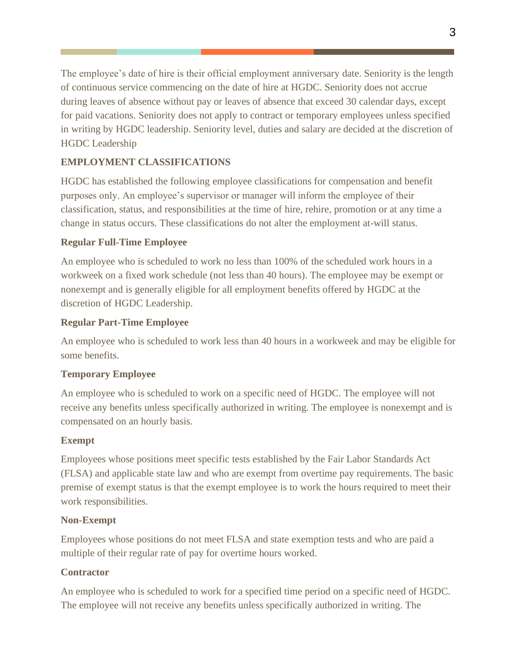The employee's date of hire is their official employment anniversary date. Seniority is the length of continuous service commencing on the date of hire at HGDC. Seniority does not accrue during leaves of absence without pay or leaves of absence that exceed 30 calendar days, except for paid vacations. Seniority does not apply to contract or temporary employees unless specified in writing by HGDC leadership. Seniority level, duties and salary are decided at the discretion of HGDC Leadership

#### **EMPLOYMENT CLASSIFICATIONS**

HGDC has established the following employee classifications for compensation and benefit purposes only. An employee's supervisor or manager will inform the employee of their classification, status, and responsibilities at the time of hire, rehire, promotion or at any time a change in status occurs. These classifications do not alter the employment at-will status.

#### **Regular Full-Time Employee**

An employee who is scheduled to work no less than 100% of the scheduled work hours in a workweek on a fixed work schedule (not less than 40 hours). The employee may be exempt or nonexempt and is generally eligible for all employment benefits offered by HGDC at the discretion of HGDC Leadership.

#### **Regular Part-Time Employee**

An employee who is scheduled to work less than 40 hours in a workweek and may be eligible for some benefits.

#### **Temporary Employee**

An employee who is scheduled to work on a specific need of HGDC. The employee will not receive any benefits unless specifically authorized in writing. The employee is nonexempt and is compensated on an hourly basis.

#### **Exempt**

Employees whose positions meet specific tests established by the Fair Labor Standards Act (FLSA) and applicable state law and who are exempt from overtime pay requirements. The basic premise of exempt status is that the exempt employee is to work the hours required to meet their work responsibilities.

#### **Non-Exempt**

Employees whose positions do not meet FLSA and state exemption tests and who are paid a multiple of their regular rate of pay for overtime hours worked.

#### **Contractor**

An employee who is scheduled to work for a specified time period on a specific need of HGDC. The employee will not receive any benefits unless specifically authorized in writing. The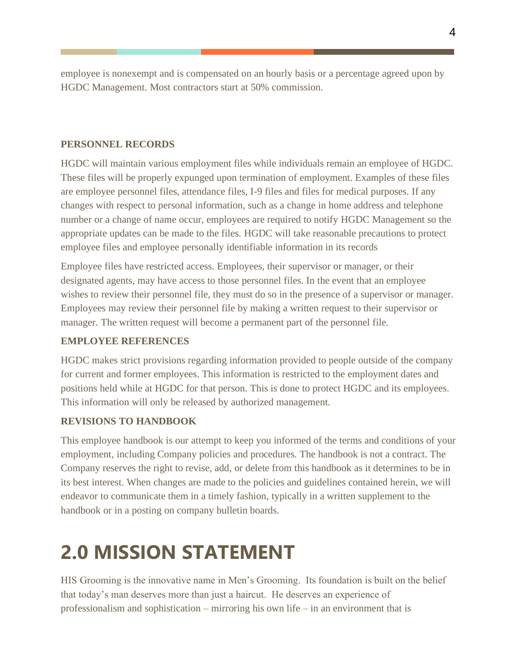employee is nonexempt and is compensated on an hourly basis or a percentage agreed upon by HGDC Management. Most contractors start at 50% commission.

#### **PERSONNEL RECORDS**

HGDC will maintain various employment files while individuals remain an employee of HGDC. These files will be properly expunged upon termination of employment. Examples of these files are employee personnel files, attendance files, I-9 files and files for medical purposes. If any changes with respect to personal information, such as a change in home address and telephone number or a change of name occur, employees are required to notify HGDC Management so the appropriate updates can be made to the files. HGDC will take reasonable precautions to protect employee files and employee personally identifiable information in its records

Employee files have restricted access. Employees, their supervisor or manager, or their designated agents, may have access to those personnel files. In the event that an employee wishes to review their personnel file, they must do so in the presence of a supervisor or manager. Employees may review their personnel file by making a written request to their supervisor or manager. The written request will become a permanent part of the personnel file.

#### **EMPLOYEE REFERENCES**

HGDC makes strict provisions regarding information provided to people outside of the company for current and former employees. This information is restricted to the employment dates and positions held while at HGDC for that person. This is done to protect HGDC and its employees. This information will only be released by authorized management.

#### **REVISIONS TO HANDBOOK**

This employee handbook is our attempt to keep you informed of the terms and conditions of your employment, including Company policies and procedures. The handbook is not a contract. The Company reserves the right to revise, add, or delete from this handbook as it determines to be in its best interest. When changes are made to the policies and guidelines contained herein, we will endeavor to communicate them in a timely fashion, typically in a written supplement to the handbook or in a posting on company bulletin boards.

# <span id="page-4-0"></span>**2.0 MISSION STATEMENT**

HIS Grooming is the innovative name in Men's Grooming. Its foundation is built on the belief that today's man deserves more than just a haircut. He deserves an experience of professionalism and sophistication – mirroring his own life – in an environment that is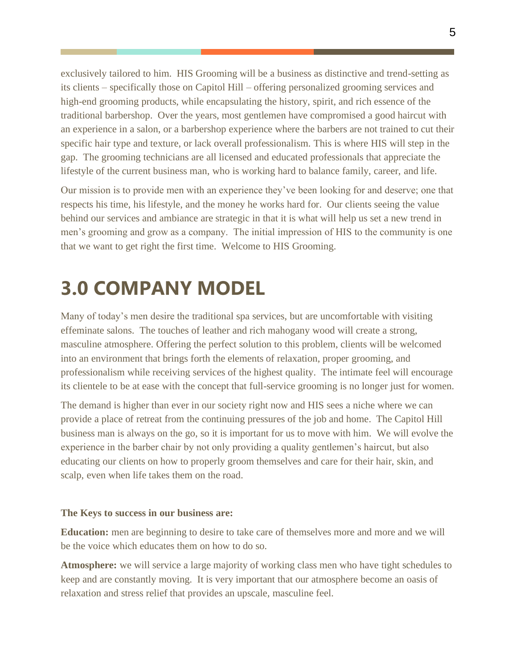exclusively tailored to him. HIS Grooming will be a business as distinctive and trend-setting as its clients – specifically those on Capitol Hill – offering personalized grooming services and high-end grooming products, while encapsulating the history, spirit, and rich essence of the traditional barbershop. Over the years, most gentlemen have compromised a good haircut with an experience in a salon, or a barbershop experience where the barbers are not trained to cut their specific hair type and texture, or lack overall professionalism. This is where HIS will step in the gap. The grooming technicians are all licensed and educated professionals that appreciate the lifestyle of the current business man, who is working hard to balance family, career, and life.

Our mission is to provide men with an experience they've been looking for and deserve; one that respects his time, his lifestyle, and the money he works hard for. Our clients seeing the value behind our services and ambiance are strategic in that it is what will help us set a new trend in men's grooming and grow as a company. The initial impression of HIS to the community is one that we want to get right the first time. Welcome to HIS Grooming.

### **3.0 COMPANY MODEL**

Many of today's men desire the traditional spa services, but are uncomfortable with visiting effeminate salons. The touches of leather and rich mahogany wood will create a strong, masculine atmosphere. Offering the perfect solution to this problem, clients will be welcomed into an environment that brings forth the elements of relaxation, proper grooming, and professionalism while receiving services of the highest quality. The intimate feel will encourage its clientele to be at ease with the concept that full-service grooming is no longer just for women.

The demand is higher than ever in our society right now and HIS sees a niche where we can provide a place of retreat from the continuing pressures of the job and home. The Capitol Hill business man is always on the go, so it is important for us to move with him. We will evolve the experience in the barber chair by not only providing a quality gentlemen's haircut, but also educating our clients on how to properly groom themselves and care for their hair, skin, and scalp, even when life takes them on the road.

#### **The Keys to success in our business are:**

**Education:** men are beginning to desire to take care of themselves more and more and we will be the voice which educates them on how to do so.

**Atmosphere:** we will service a large majority of working class men who have tight schedules to keep and are constantly moving. It is very important that our atmosphere become an oasis of relaxation and stress relief that provides an upscale, masculine feel.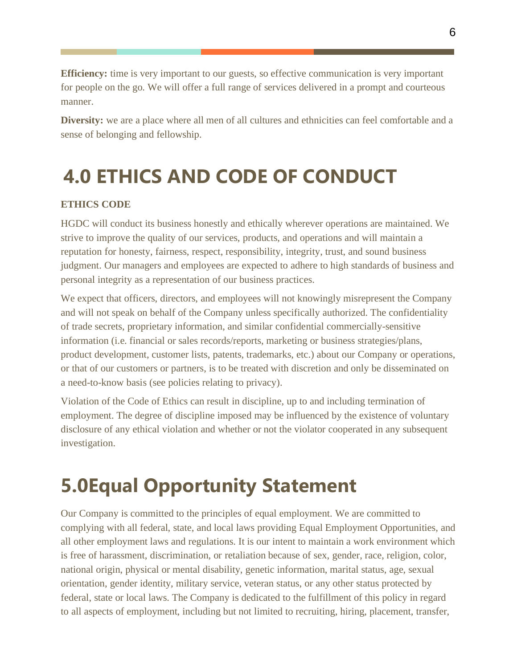**Efficiency:** time is very important to our guests, so effective communication is very important for people on the go. We will offer a full range of services delivered in a prompt and courteous manner.

**Diversity:** we are a place where all men of all cultures and ethnicities can feel comfortable and a sense of belonging and fellowship.

# <span id="page-6-0"></span>**4.0 ETHICS AND CODE OF CONDUCT**

#### **ETHICS CODE**

HGDC will conduct its business honestly and ethically wherever operations are maintained. We strive to improve the quality of our services, products, and operations and will maintain a reputation for honesty, fairness, respect, responsibility, integrity, trust, and sound business judgment. Our managers and employees are expected to adhere to high standards of business and personal integrity as a representation of our business practices.

We expect that officers, directors, and employees will not knowingly misrepresent the Company and will not speak on behalf of the Company unless specifically authorized. The confidentiality of trade secrets, proprietary information, and similar confidential commercially-sensitive information (i.e. financial or sales records/reports, marketing or business strategies/plans, product development, customer lists, patents, trademarks, etc.) about our Company or operations, or that of our customers or partners, is to be treated with discretion and only be disseminated on a need-to-know basis (see policies relating to privacy).

Violation of the Code of Ethics can result in discipline, up to and including termination of employment. The degree of discipline imposed may be influenced by the existence of voluntary disclosure of any ethical violation and whether or not the violator cooperated in any subsequent investigation.

# **5.0Equal Opportunity Statement**

Our Company is committed to the principles of equal employment. We are committed to complying with all federal, state, and local laws providing Equal Employment Opportunities, and all other employment laws and regulations. It is our intent to maintain a work environment which is free of harassment, discrimination, or retaliation because of sex, gender, race, religion, color, national origin, physical or mental disability, genetic information, marital status, age, sexual orientation, gender identity, military service, veteran status, or any other status protected by federal, state or local laws. The Company is dedicated to the fulfillment of this policy in regard to all aspects of employment, including but not limited to recruiting, hiring, placement, transfer,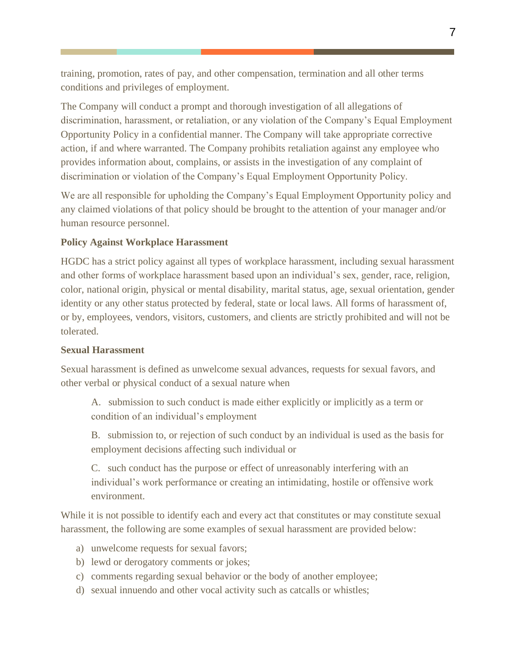training, promotion, rates of pay, and other compensation, termination and all other terms conditions and privileges of employment.

The Company will conduct a prompt and thorough investigation of all allegations of discrimination, harassment, or retaliation, or any violation of the Company's Equal Employment Opportunity Policy in a confidential manner. The Company will take appropriate corrective action, if and where warranted. The Company prohibits retaliation against any employee who provides information about, complains, or assists in the investigation of any complaint of discrimination or violation of the Company's Equal Employment Opportunity Policy.

We are all responsible for upholding the Company's Equal Employment Opportunity policy and any claimed violations of that policy should be brought to the attention of your manager and/or human resource personnel.

#### **Policy Against Workplace Harassment**

HGDC has a strict policy against all types of workplace harassment, including sexual harassment and other forms of workplace harassment based upon an individual's sex, gender, race, religion, color, national origin, physical or mental disability, marital status, age, sexual orientation, gender identity or any other status protected by federal, state or local laws. All forms of harassment of, or by, employees, vendors, visitors, customers, and clients are strictly prohibited and will not be tolerated.

#### **Sexual Harassment**

Sexual harassment is defined as unwelcome sexual advances, requests for sexual favors, and other verbal or physical conduct of a sexual nature when

A. submission to such conduct is made either explicitly or implicitly as a term or condition of an individual's employment

B. submission to, or rejection of such conduct by an individual is used as the basis for employment decisions affecting such individual or

C. such conduct has the purpose or effect of unreasonably interfering with an individual's work performance or creating an intimidating, hostile or offensive work environment.

While it is not possible to identify each and every act that constitutes or may constitute sexual harassment, the following are some examples of sexual harassment are provided below:

- a) unwelcome requests for sexual favors;
- b) lewd or derogatory comments or jokes;
- c) comments regarding sexual behavior or the body of another employee;
- d) sexual innuendo and other vocal activity such as catcalls or whistles;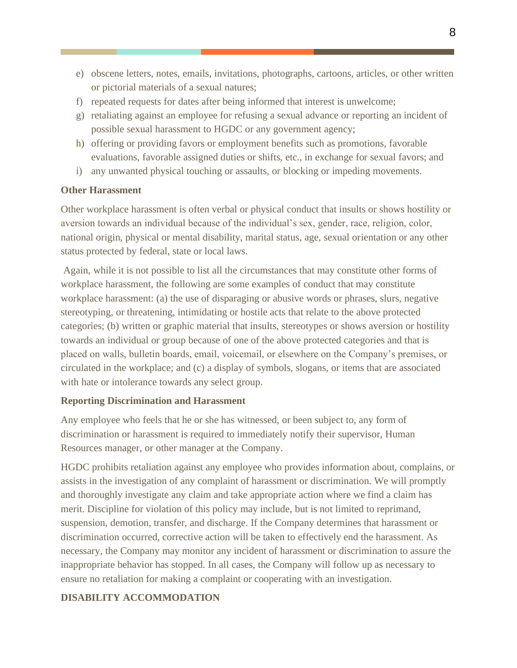- e) obscene letters, notes, emails, invitations, photographs, cartoons, articles, or other written or pictorial materials of a sexual natures;
- f) repeated requests for dates after being informed that interest is unwelcome;
- g) retaliating against an employee for refusing a sexual advance or reporting an incident of possible sexual harassment to HGDC or any government agency;
- h) offering or providing favors or employment benefits such as promotions, favorable evaluations, favorable assigned duties or shifts, etc., in exchange for sexual favors; and
- i) any unwanted physical touching or assaults, or blocking or impeding movements.

#### **Other Harassment**

Other workplace harassment is often verbal or physical conduct that insults or shows hostility or aversion towards an individual because of the individual's sex, gender, race, religion, color, national origin, physical or mental disability, marital status, age, sexual orientation or any other status protected by federal, state or local laws.

Again, while it is not possible to list all the circumstances that may constitute other forms of workplace harassment, the following are some examples of conduct that may constitute workplace harassment: (a) the use of disparaging or abusive words or phrases, slurs, negative stereotyping, or threatening, intimidating or hostile acts that relate to the above protected categories; (b) written or graphic material that insults, stereotypes or shows aversion or hostility towards an individual or group because of one of the above protected categories and that is placed on walls, bulletin boards, email, voicemail, or elsewhere on the Company's premises, or circulated in the workplace; and (c) a display of symbols, slogans, or items that are associated with hate or intolerance towards any select group.

#### **Reporting Discrimination and Harassment**

Any employee who feels that he or she has witnessed, or been subject to, any form of discrimination or harassment is required to immediately notify their supervisor, Human Resources manager, or other manager at the Company.

HGDC prohibits retaliation against any employee who provides information about, complains, or assists in the investigation of any complaint of harassment or discrimination. We will promptly and thoroughly investigate any claim and take appropriate action where we find a claim has merit. Discipline for violation of this policy may include, but is not limited to reprimand, suspension, demotion, transfer, and discharge. If the Company determines that harassment or discrimination occurred, corrective action will be taken to effectively end the harassment. As necessary, the Company may monitor any incident of harassment or discrimination to assure the inappropriate behavior has stopped. In all cases, the Company will follow up as necessary to ensure no retaliation for making a complaint or cooperating with an investigation.

#### **DISABILITY ACCOMMODATION**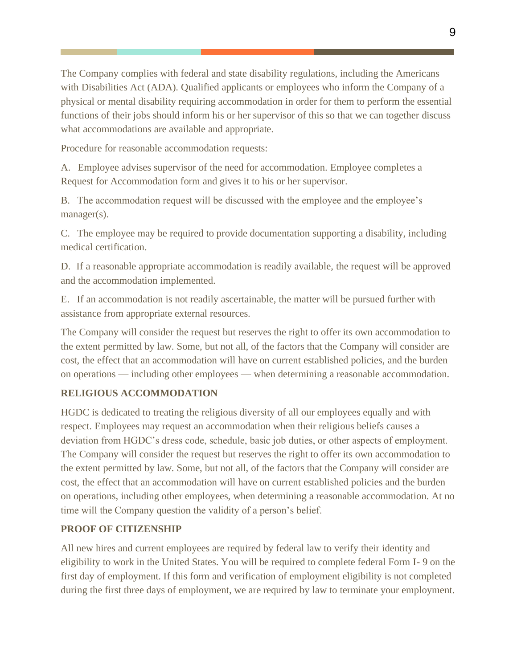The Company complies with federal and state disability regulations, including the Americans with Disabilities Act (ADA). Qualified applicants or employees who inform the Company of a physical or mental disability requiring accommodation in order for them to perform the essential functions of their jobs should inform his or her supervisor of this so that we can together discuss what accommodations are available and appropriate.

Procedure for reasonable accommodation requests:

A. Employee advises supervisor of the need for accommodation. Employee completes a Request for Accommodation form and gives it to his or her supervisor.

B. The accommodation request will be discussed with the employee and the employee's manager(s).

C. The employee may be required to provide documentation supporting a disability, including medical certification.

D. If a reasonable appropriate accommodation is readily available, the request will be approved and the accommodation implemented.

E. If an accommodation is not readily ascertainable, the matter will be pursued further with assistance from appropriate external resources.

The Company will consider the request but reserves the right to offer its own accommodation to the extent permitted by law. Some, but not all, of the factors that the Company will consider are cost, the effect that an accommodation will have on current established policies, and the burden on operations — including other employees — when determining a reasonable accommodation.

#### **RELIGIOUS ACCOMMODATION**

HGDC is dedicated to treating the religious diversity of all our employees equally and with respect. Employees may request an accommodation when their religious beliefs causes a deviation from HGDC's dress code, schedule, basic job duties, or other aspects of employment. The Company will consider the request but reserves the right to offer its own accommodation to the extent permitted by law. Some, but not all, of the factors that the Company will consider are cost, the effect that an accommodation will have on current established policies and the burden on operations, including other employees, when determining a reasonable accommodation. At no time will the Company question the validity of a person's belief.

#### **PROOF OF CITIZENSHIP**

All new hires and current employees are required by federal law to verify their identity and eligibility to work in the United States. You will be required to complete federal Form I- 9 on the first day of employment. If this form and verification of employment eligibility is not completed during the first three days of employment, we are required by law to terminate your employment.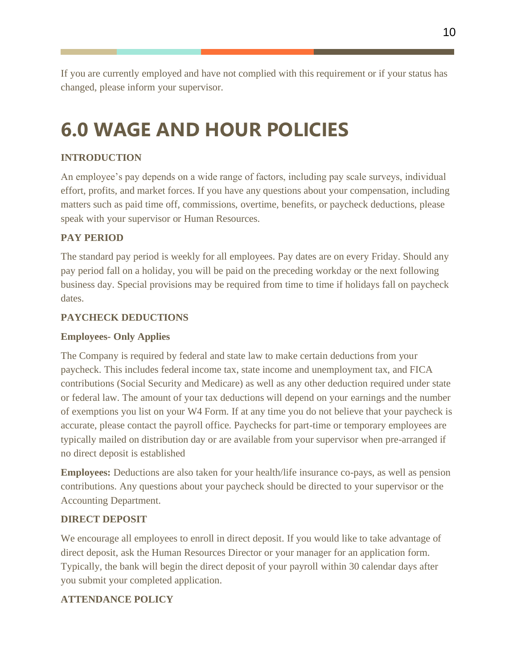If you are currently employed and have not complied with this requirement or if your status has changed, please inform your supervisor.

# <span id="page-10-0"></span>**6.0 WAGE AND HOUR POLICIES**

#### **INTRODUCTION**

An employee's pay depends on a wide range of factors, including pay scale surveys, individual effort, profits, and market forces. If you have any questions about your compensation, including matters such as paid time off, commissions, overtime, benefits, or paycheck deductions, please speak with your supervisor or Human Resources.

#### **PAY PERIOD**

The standard pay period is weekly for all employees. Pay dates are on every Friday. Should any pay period fall on a holiday, you will be paid on the preceding workday or the next following business day. Special provisions may be required from time to time if holidays fall on paycheck dates.

#### **PAYCHECK DEDUCTIONS**

#### **Employees- Only Applies**

The Company is required by federal and state law to make certain deductions from your paycheck. This includes federal income tax, state income and unemployment tax, and FICA contributions (Social Security and Medicare) as well as any other deduction required under state or federal law. The amount of your tax deductions will depend on your earnings and the number of exemptions you list on your W4 Form. If at any time you do not believe that your paycheck is accurate, please contact the payroll office. Paychecks for part-time or temporary employees are typically mailed on distribution day or are available from your supervisor when pre-arranged if no direct deposit is established

**Employees:** Deductions are also taken for your health/life insurance co-pays, as well as pension contributions. Any questions about your paycheck should be directed to your supervisor or the Accounting Department.

#### **DIRECT DEPOSIT**

We encourage all employees to enroll in direct deposit. If you would like to take advantage of direct deposit, ask the Human Resources Director or your manager for an application form. Typically, the bank will begin the direct deposit of your payroll within 30 calendar days after you submit your completed application.

#### **ATTENDANCE POLICY**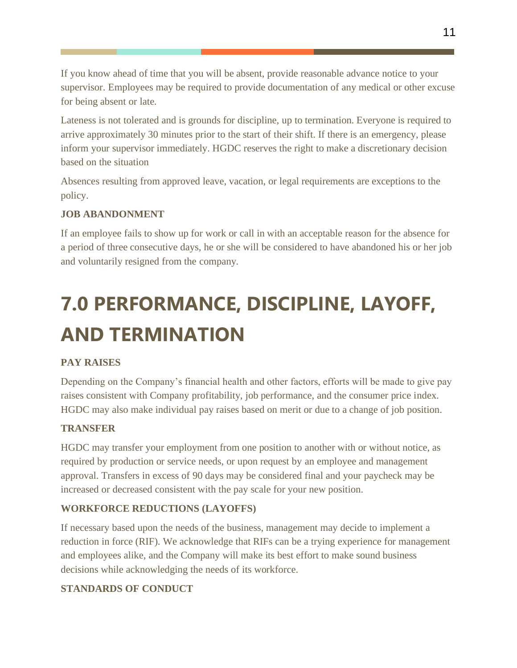If you know ahead of time that you will be absent, provide reasonable advance notice to your supervisor. Employees may be required to provide documentation of any medical or other excuse for being absent or late.

Lateness is not tolerated and is grounds for discipline, up to termination. Everyone is required to arrive approximately 30 minutes prior to the start of their shift. If there is an emergency, please inform your supervisor immediately. HGDC reserves the right to make a discretionary decision based on the situation

Absences resulting from approved leave, vacation, or legal requirements are exceptions to the policy.

#### **JOB ABANDONMENT**

If an employee fails to show up for work or call in with an acceptable reason for the absence for a period of three consecutive days, he or she will be considered to have abandoned his or her job and voluntarily resigned from the company.

# **7.0 PERFORMANCE, DISCIPLINE, LAYOFF, AND TERMINATION**

#### **PAY RAISES**

Depending on the Company's financial health and other factors, efforts will be made to give pay raises consistent with Company profitability, job performance, and the consumer price index. HGDC may also make individual pay raises based on merit or due to a change of job position.

#### **TRANSFER**

HGDC may transfer your employment from one position to another with or without notice, as required by production or service needs, or upon request by an employee and management approval. Transfers in excess of 90 days may be considered final and your paycheck may be increased or decreased consistent with the pay scale for your new position.

#### **WORKFORCE REDUCTIONS (LAYOFFS)**

If necessary based upon the needs of the business, management may decide to implement a reduction in force (RIF). We acknowledge that RIFs can be a trying experience for management and employees alike, and the Company will make its best effort to make sound business decisions while acknowledging the needs of its workforce.

#### **STANDARDS OF CONDUCT**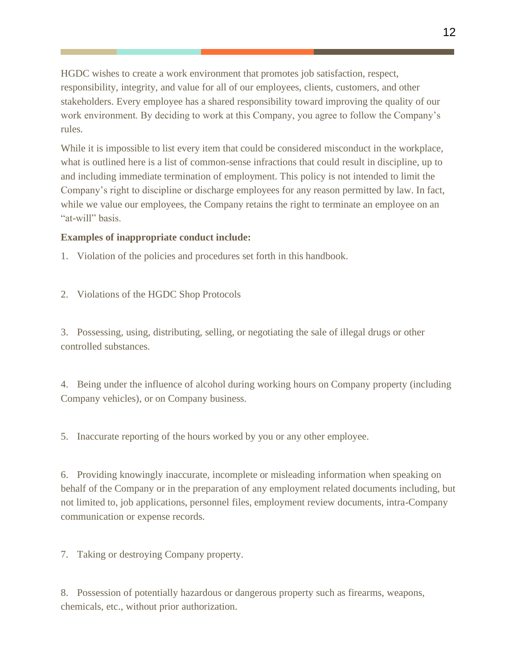HGDC wishes to create a work environment that promotes job satisfaction, respect, responsibility, integrity, and value for all of our employees, clients, customers, and other stakeholders. Every employee has a shared responsibility toward improving the quality of our work environment. By deciding to work at this Company, you agree to follow the Company's rules.

While it is impossible to list every item that could be considered misconduct in the workplace, what is outlined here is a list of common-sense infractions that could result in discipline, up to and including immediate termination of employment. This policy is not intended to limit the Company's right to discipline or discharge employees for any reason permitted by law. In fact, while we value our employees, the Company retains the right to terminate an employee on an "at-will" basis.

#### **Examples of inappropriate conduct include:**

1. Violation of the policies and procedures set forth in this handbook.

2. Violations of the HGDC Shop Protocols

3. Possessing, using, distributing, selling, or negotiating the sale of illegal drugs or other controlled substances.

4. Being under the influence of alcohol during working hours on Company property (including Company vehicles), or on Company business.

5. Inaccurate reporting of the hours worked by you or any other employee.

6. Providing knowingly inaccurate, incomplete or misleading information when speaking on behalf of the Company or in the preparation of any employment related documents including, but not limited to, job applications, personnel files, employment review documents, intra-Company communication or expense records.

7. Taking or destroying Company property.

8. Possession of potentially hazardous or dangerous property such as firearms, weapons, chemicals, etc., without prior authorization.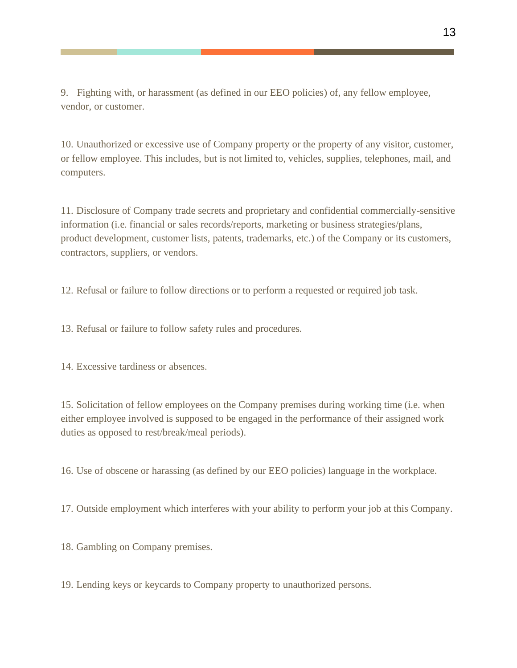9. Fighting with, or harassment (as defined in our EEO policies) of, any fellow employee, vendor, or customer.

10. Unauthorized or excessive use of Company property or the property of any visitor, customer, or fellow employee. This includes, but is not limited to, vehicles, supplies, telephones, mail, and computers.

11. Disclosure of Company trade secrets and proprietary and confidential commercially-sensitive information (i.e. financial or sales records/reports, marketing or business strategies/plans, product development, customer lists, patents, trademarks, etc.) of the Company or its customers, contractors, suppliers, or vendors.

12. Refusal or failure to follow directions or to perform a requested or required job task.

13. Refusal or failure to follow safety rules and procedures.

14. Excessive tardiness or absences.

15. Solicitation of fellow employees on the Company premises during working time (i.e. when either employee involved is supposed to be engaged in the performance of their assigned work duties as opposed to rest/break/meal periods).

16. Use of obscene or harassing (as defined by our EEO policies) language in the workplace.

17. Outside employment which interferes with your ability to perform your job at this Company.

18. Gambling on Company premises.

19. Lending keys or keycards to Company property to unauthorized persons.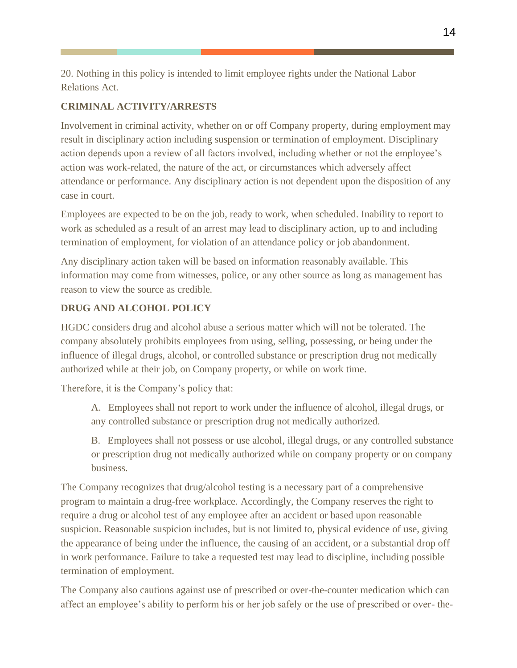20. Nothing in this policy is intended to limit employee rights under the National Labor Relations Act.

#### **CRIMINAL ACTIVITY/ARRESTS**

Involvement in criminal activity, whether on or off Company property, during employment may result in disciplinary action including suspension or termination of employment. Disciplinary action depends upon a review of all factors involved, including whether or not the employee's action was work-related, the nature of the act, or circumstances which adversely affect attendance or performance. Any disciplinary action is not dependent upon the disposition of any case in court.

Employees are expected to be on the job, ready to work, when scheduled. Inability to report to work as scheduled as a result of an arrest may lead to disciplinary action, up to and including termination of employment, for violation of an attendance policy or job abandonment.

Any disciplinary action taken will be based on information reasonably available. This information may come from witnesses, police, or any other source as long as management has reason to view the source as credible.

#### **DRUG AND ALCOHOL POLICY**

HGDC considers drug and alcohol abuse a serious matter which will not be tolerated. The company absolutely prohibits employees from using, selling, possessing, or being under the influence of illegal drugs, alcohol, or controlled substance or prescription drug not medically authorized while at their job, on Company property, or while on work time.

Therefore, it is the Company's policy that:

A. Employees shall not report to work under the influence of alcohol, illegal drugs, or any controlled substance or prescription drug not medically authorized.

B. Employees shall not possess or use alcohol, illegal drugs, or any controlled substance or prescription drug not medically authorized while on company property or on company business.

The Company recognizes that drug/alcohol testing is a necessary part of a comprehensive program to maintain a drug-free workplace. Accordingly, the Company reserves the right to require a drug or alcohol test of any employee after an accident or based upon reasonable suspicion. Reasonable suspicion includes, but is not limited to, physical evidence of use, giving the appearance of being under the influence, the causing of an accident, or a substantial drop off in work performance. Failure to take a requested test may lead to discipline, including possible termination of employment.

The Company also cautions against use of prescribed or over-the-counter medication which can affect an employee's ability to perform his or her job safely or the use of prescribed or over- the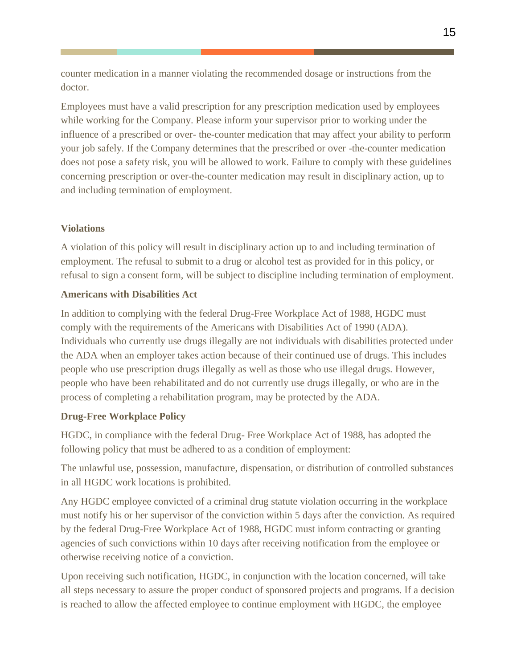counter medication in a manner violating the recommended dosage or instructions from the doctor.

Employees must have a valid prescription for any prescription medication used by employees while working for the Company. Please inform your supervisor prior to working under the influence of a prescribed or over- the-counter medication that may affect your ability to perform your job safely. If the Company determines that the prescribed or over -the-counter medication does not pose a safety risk, you will be allowed to work. Failure to comply with these guidelines concerning prescription or over-the-counter medication may result in disciplinary action, up to and including termination of employment.

#### **Violations**

A violation of this policy will result in disciplinary action up to and including termination of employment. The refusal to submit to a drug or alcohol test as provided for in this policy, or refusal to sign a consent form, will be subject to discipline including termination of employment.

#### **Americans with Disabilities Act**

In addition to complying with the federal Drug-Free Workplace Act of 1988, HGDC must comply with the requirements of the Americans with Disabilities Act of 1990 (ADA). Individuals who currently use drugs illegally are not individuals with disabilities protected under the ADA when an employer takes action because of their continued use of drugs. This includes people who use prescription drugs illegally as well as those who use illegal drugs. However, people who have been rehabilitated and do not currently use drugs illegally, or who are in the process of completing a rehabilitation program, may be protected by the ADA.

#### **Drug-Free Workplace Policy**

HGDC, in compliance with the federal Drug- Free Workplace Act of 1988, has adopted the following policy that must be adhered to as a condition of employment:

The unlawful use, possession, manufacture, dispensation, or distribution of controlled substances in all HGDC work locations is prohibited.

Any HGDC employee convicted of a criminal drug statute violation occurring in the workplace must notify his or her supervisor of the conviction within 5 days after the conviction. As required by the federal Drug-Free Workplace Act of 1988, HGDC must inform contracting or granting agencies of such convictions within 10 days after receiving notification from the employee or otherwise receiving notice of a conviction.

Upon receiving such notification, HGDC, in conjunction with the location concerned, will take all steps necessary to assure the proper conduct of sponsored projects and programs. If a decision is reached to allow the affected employee to continue employment with HGDC, the employee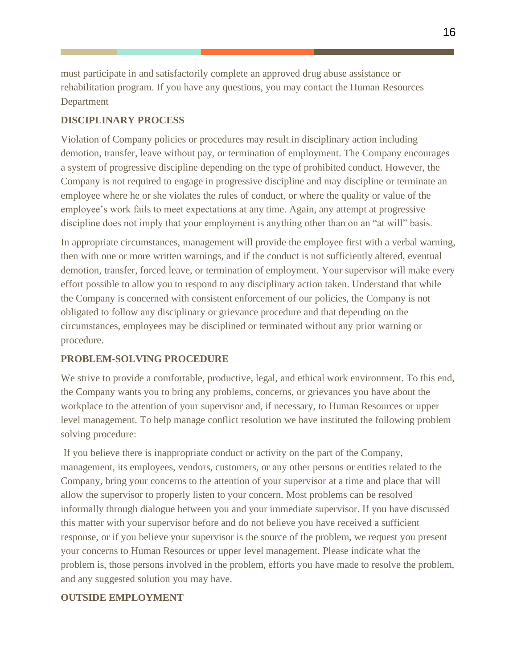must participate in and satisfactorily complete an approved drug abuse assistance or rehabilitation program. If you have any questions, you may contact the Human Resources Department

#### **DISCIPLINARY PROCESS**

Violation of Company policies or procedures may result in disciplinary action including demotion, transfer, leave without pay, or termination of employment. The Company encourages a system of progressive discipline depending on the type of prohibited conduct. However, the Company is not required to engage in progressive discipline and may discipline or terminate an employee where he or she violates the rules of conduct, or where the quality or value of the employee's work fails to meet expectations at any time. Again, any attempt at progressive discipline does not imply that your employment is anything other than on an "at will" basis.

In appropriate circumstances, management will provide the employee first with a verbal warning, then with one or more written warnings, and if the conduct is not sufficiently altered, eventual demotion, transfer, forced leave, or termination of employment. Your supervisor will make every effort possible to allow you to respond to any disciplinary action taken. Understand that while the Company is concerned with consistent enforcement of our policies, the Company is not obligated to follow any disciplinary or grievance procedure and that depending on the circumstances, employees may be disciplined or terminated without any prior warning or procedure.

#### **PROBLEM-SOLVING PROCEDURE**

We strive to provide a comfortable, productive, legal, and ethical work environment. To this end, the Company wants you to bring any problems, concerns, or grievances you have about the workplace to the attention of your supervisor and, if necessary, to Human Resources or upper level management. To help manage conflict resolution we have instituted the following problem solving procedure:

If you believe there is inappropriate conduct or activity on the part of the Company, management, its employees, vendors, customers, or any other persons or entities related to the Company, bring your concerns to the attention of your supervisor at a time and place that will allow the supervisor to properly listen to your concern. Most problems can be resolved informally through dialogue between you and your immediate supervisor. If you have discussed this matter with your supervisor before and do not believe you have received a sufficient response, or if you believe your supervisor is the source of the problem, we request you present your concerns to Human Resources or upper level management. Please indicate what the problem is, those persons involved in the problem, efforts you have made to resolve the problem, and any suggested solution you may have.

#### **OUTSIDE EMPLOYMENT**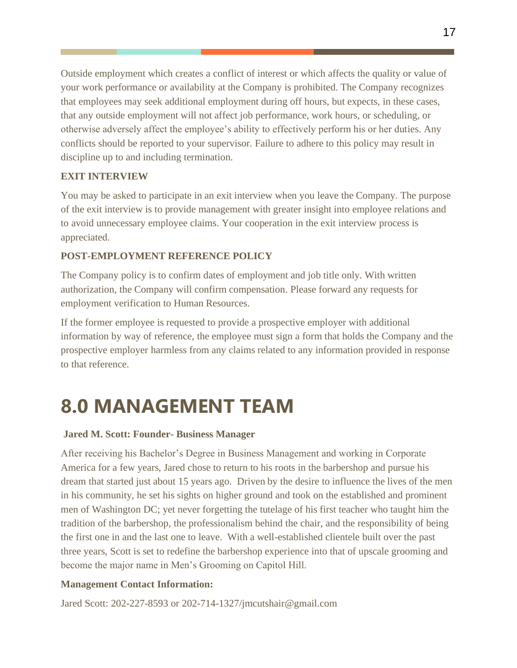Outside employment which creates a conflict of interest or which affects the quality or value of your work performance or availability at the Company is prohibited. The Company recognizes that employees may seek additional employment during off hours, but expects, in these cases, that any outside employment will not affect job performance, work hours, or scheduling, or otherwise adversely affect the employee's ability to effectively perform his or her duties. Any conflicts should be reported to your supervisor. Failure to adhere to this policy may result in discipline up to and including termination.

#### **EXIT INTERVIEW**

You may be asked to participate in an exit interview when you leave the Company. The purpose of the exit interview is to provide management with greater insight into employee relations and to avoid unnecessary employee claims. Your cooperation in the exit interview process is appreciated.

#### **POST-EMPLOYMENT REFERENCE POLICY**

The Company policy is to confirm dates of employment and job title only. With written authorization, the Company will confirm compensation. Please forward any requests for employment verification to Human Resources.

If the former employee is requested to provide a prospective employer with additional information by way of reference, the employee must sign a form that holds the Company and the prospective employer harmless from any claims related to any information provided in response to that reference.

# **8.0 MANAGEMENT TEAM**

#### **Jared M. Scott: Founder- Business Manager**

After receiving his Bachelor's Degree in Business Management and working in Corporate America for a few years, Jared chose to return to his roots in the barbershop and pursue his dream that started just about 15 years ago. Driven by the desire to influence the lives of the men in his community, he set his sights on higher ground and took on the established and prominent men of Washington DC; yet never forgetting the tutelage of his first teacher who taught him the tradition of the barbershop, the professionalism behind the chair, and the responsibility of being the first one in and the last one to leave. With a well-established clientele built over the past three years, Scott is set to redefine the barbershop experience into that of upscale grooming and become the major name in Men's Grooming on Capitol Hill.

#### **Management Contact Information:**

Jared Scott: 202-227-8593 or 202-714-1327/jmcutshair@gmail.com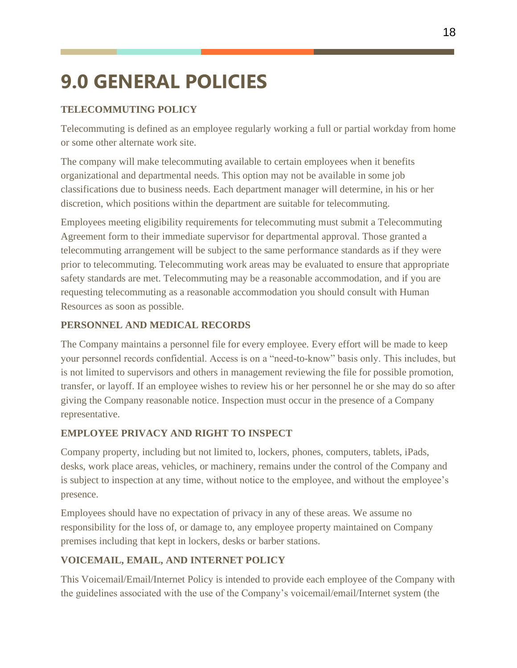# <span id="page-18-0"></span>**9.0 GENERAL POLICIES**

#### **TELECOMMUTING POLICY**

Telecommuting is defined as an employee regularly working a full or partial workday from home or some other alternate work site.

The company will make telecommuting available to certain employees when it benefits organizational and departmental needs. This option may not be available in some job classifications due to business needs. Each department manager will determine, in his or her discretion, which positions within the department are suitable for telecommuting.

Employees meeting eligibility requirements for telecommuting must submit a Telecommuting Agreement form to their immediate supervisor for departmental approval. Those granted a telecommuting arrangement will be subject to the same performance standards as if they were prior to telecommuting. Telecommuting work areas may be evaluated to ensure that appropriate safety standards are met. Telecommuting may be a reasonable accommodation, and if you are requesting telecommuting as a reasonable accommodation you should consult with Human Resources as soon as possible.

#### **PERSONNEL AND MEDICAL RECORDS**

The Company maintains a personnel file for every employee. Every effort will be made to keep your personnel records confidential. Access is on a "need-to-know" basis only. This includes, but is not limited to supervisors and others in management reviewing the file for possible promotion, transfer, or layoff. If an employee wishes to review his or her personnel he or she may do so after giving the Company reasonable notice. Inspection must occur in the presence of a Company representative.

#### **EMPLOYEE PRIVACY AND RIGHT TO INSPECT**

Company property, including but not limited to, lockers, phones, computers, tablets, iPads, desks, work place areas, vehicles, or machinery, remains under the control of the Company and is subject to inspection at any time, without notice to the employee, and without the employee's presence.

Employees should have no expectation of privacy in any of these areas. We assume no responsibility for the loss of, or damage to, any employee property maintained on Company premises including that kept in lockers, desks or barber stations.

#### **VOICEMAIL, EMAIL, AND INTERNET POLICY**

This Voicemail/Email/Internet Policy is intended to provide each employee of the Company with the guidelines associated with the use of the Company's voicemail/email/Internet system (the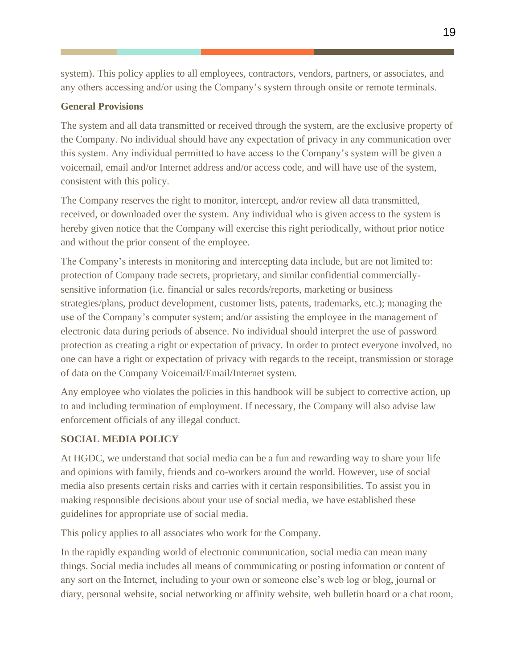system). This policy applies to all employees, contractors, vendors, partners, or associates, and any others accessing and/or using the Company's system through onsite or remote terminals.

#### **General Provisions**

The system and all data transmitted or received through the system, are the exclusive property of the Company. No individual should have any expectation of privacy in any communication over this system. Any individual permitted to have access to the Company's system will be given a voicemail, email and/or Internet address and/or access code, and will have use of the system, consistent with this policy.

The Company reserves the right to monitor, intercept, and/or review all data transmitted, received, or downloaded over the system. Any individual who is given access to the system is hereby given notice that the Company will exercise this right periodically, without prior notice and without the prior consent of the employee.

The Company's interests in monitoring and intercepting data include, but are not limited to: protection of Company trade secrets, proprietary, and similar confidential commerciallysensitive information (i.e. financial or sales records/reports, marketing or business strategies/plans, product development, customer lists, patents, trademarks, etc.); managing the use of the Company's computer system; and/or assisting the employee in the management of electronic data during periods of absence. No individual should interpret the use of password protection as creating a right or expectation of privacy. In order to protect everyone involved, no one can have a right or expectation of privacy with regards to the receipt, transmission or storage of data on the Company Voicemail/Email/Internet system.

Any employee who violates the policies in this handbook will be subject to corrective action, up to and including termination of employment. If necessary, the Company will also advise law enforcement officials of any illegal conduct.

#### **SOCIAL MEDIA POLICY**

At HGDC, we understand that social media can be a fun and rewarding way to share your life and opinions with family, friends and co-workers around the world. However, use of social media also presents certain risks and carries with it certain responsibilities. To assist you in making responsible decisions about your use of social media, we have established these guidelines for appropriate use of social media.

This policy applies to all associates who work for the Company.

In the rapidly expanding world of electronic communication, social media can mean many things. Social media includes all means of communicating or posting information or content of any sort on the Internet, including to your own or someone else's web log or blog, journal or diary, personal website, social networking or affinity website, web bulletin board or a chat room,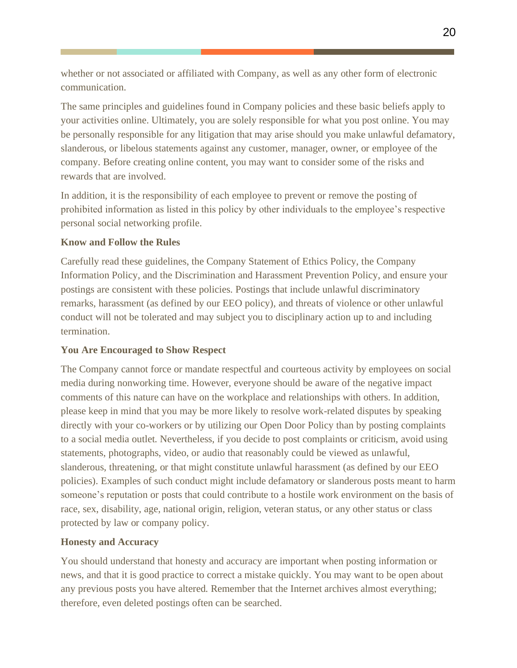whether or not associated or affiliated with Company, as well as any other form of electronic communication.

The same principles and guidelines found in Company policies and these basic beliefs apply to your activities online. Ultimately, you are solely responsible for what you post online. You may be personally responsible for any litigation that may arise should you make unlawful defamatory, slanderous, or libelous statements against any customer, manager, owner, or employee of the company. Before creating online content, you may want to consider some of the risks and rewards that are involved.

In addition, it is the responsibility of each employee to prevent or remove the posting of prohibited information as listed in this policy by other individuals to the employee's respective personal social networking profile.

#### **Know and Follow the Rules**

Carefully read these guidelines, the Company Statement of Ethics Policy, the Company Information Policy, and the Discrimination and Harassment Prevention Policy, and ensure your postings are consistent with these policies. Postings that include unlawful discriminatory remarks, harassment (as defined by our EEO policy), and threats of violence or other unlawful conduct will not be tolerated and may subject you to disciplinary action up to and including termination.

#### **You Are Encouraged to Show Respect**

The Company cannot force or mandate respectful and courteous activity by employees on social media during nonworking time. However, everyone should be aware of the negative impact comments of this nature can have on the workplace and relationships with others. In addition, please keep in mind that you may be more likely to resolve work-related disputes by speaking directly with your co-workers or by utilizing our Open Door Policy than by posting complaints to a social media outlet. Nevertheless, if you decide to post complaints or criticism, avoid using statements, photographs, video, or audio that reasonably could be viewed as unlawful, slanderous, threatening, or that might constitute unlawful harassment (as defined by our EEO policies). Examples of such conduct might include defamatory or slanderous posts meant to harm someone's reputation or posts that could contribute to a hostile work environment on the basis of race, sex, disability, age, national origin, religion, veteran status, or any other status or class protected by law or company policy.

#### **Honesty and Accuracy**

You should understand that honesty and accuracy are important when posting information or news, and that it is good practice to correct a mistake quickly. You may want to be open about any previous posts you have altered. Remember that the Internet archives almost everything; therefore, even deleted postings often can be searched.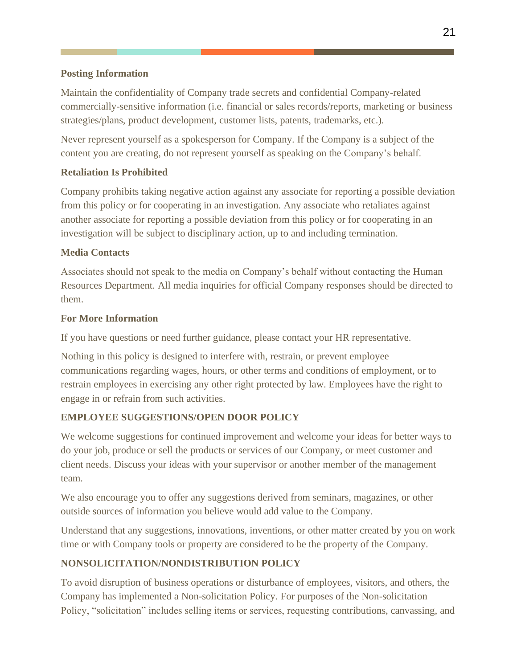#### **Posting Information**

Maintain the confidentiality of Company trade secrets and confidential Company-related commercially-sensitive information (i.e. financial or sales records/reports, marketing or business strategies/plans, product development, customer lists, patents, trademarks, etc.).

Never represent yourself as a spokesperson for Company. If the Company is a subject of the content you are creating, do not represent yourself as speaking on the Company's behalf.

#### **Retaliation Is Prohibited**

Company prohibits taking negative action against any associate for reporting a possible deviation from this policy or for cooperating in an investigation. Any associate who retaliates against another associate for reporting a possible deviation from this policy or for cooperating in an investigation will be subject to disciplinary action, up to and including termination.

#### **Media Contacts**

Associates should not speak to the media on Company's behalf without contacting the Human Resources Department. All media inquiries for official Company responses should be directed to them.

#### **For More Information**

If you have questions or need further guidance, please contact your HR representative.

Nothing in this policy is designed to interfere with, restrain, or prevent employee communications regarding wages, hours, or other terms and conditions of employment, or to restrain employees in exercising any other right protected by law. Employees have the right to engage in or refrain from such activities.

#### **EMPLOYEE SUGGESTIONS/OPEN DOOR POLICY**

We welcome suggestions for continued improvement and welcome your ideas for better ways to do your job, produce or sell the products or services of our Company, or meet customer and client needs. Discuss your ideas with your supervisor or another member of the management team.

We also encourage you to offer any suggestions derived from seminars, magazines, or other outside sources of information you believe would add value to the Company.

Understand that any suggestions, innovations, inventions, or other matter created by you on work time or with Company tools or property are considered to be the property of the Company.

#### **NONSOLICITATION/NONDISTRIBUTION POLICY**

To avoid disruption of business operations or disturbance of employees, visitors, and others, the Company has implemented a Non-solicitation Policy. For purposes of the Non-solicitation Policy, "solicitation" includes selling items or services, requesting contributions, canvassing, and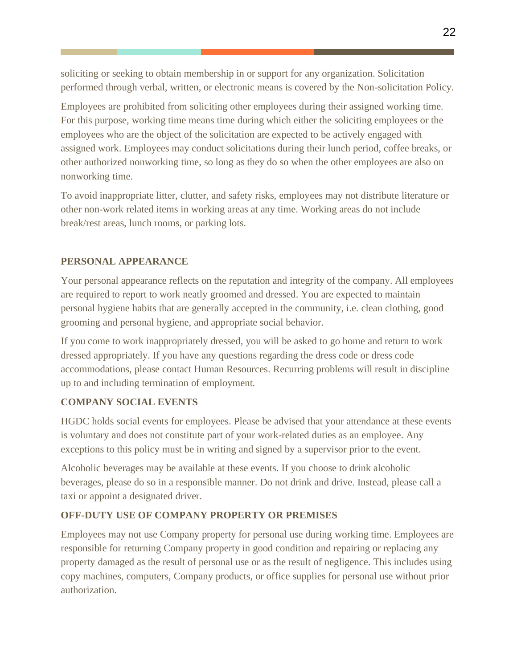soliciting or seeking to obtain membership in or support for any organization. Solicitation performed through verbal, written, or electronic means is covered by the Non-solicitation Policy.

Employees are prohibited from soliciting other employees during their assigned working time. For this purpose, working time means time during which either the soliciting employees or the employees who are the object of the solicitation are expected to be actively engaged with assigned work. Employees may conduct solicitations during their lunch period, coffee breaks, or other authorized nonworking time, so long as they do so when the other employees are also on nonworking time.

To avoid inappropriate litter, clutter, and safety risks, employees may not distribute literature or other non-work related items in working areas at any time. Working areas do not include break/rest areas, lunch rooms, or parking lots.

#### **PERSONAL APPEARANCE**

Your personal appearance reflects on the reputation and integrity of the company. All employees are required to report to work neatly groomed and dressed. You are expected to maintain personal hygiene habits that are generally accepted in the community, i.e. clean clothing, good grooming and personal hygiene, and appropriate social behavior.

If you come to work inappropriately dressed, you will be asked to go home and return to work dressed appropriately. If you have any questions regarding the dress code or dress code accommodations, please contact Human Resources. Recurring problems will result in discipline up to and including termination of employment.

#### **COMPANY SOCIAL EVENTS**

HGDC holds social events for employees. Please be advised that your attendance at these events is voluntary and does not constitute part of your work-related duties as an employee. Any exceptions to this policy must be in writing and signed by a supervisor prior to the event.

Alcoholic beverages may be available at these events. If you choose to drink alcoholic beverages, please do so in a responsible manner. Do not drink and drive. Instead, please call a taxi or appoint a designated driver.

#### **OFF-DUTY USE OF COMPANY PROPERTY OR PREMISES**

Employees may not use Company property for personal use during working time. Employees are responsible for returning Company property in good condition and repairing or replacing any property damaged as the result of personal use or as the result of negligence. This includes using copy machines, computers, Company products, or office supplies for personal use without prior authorization.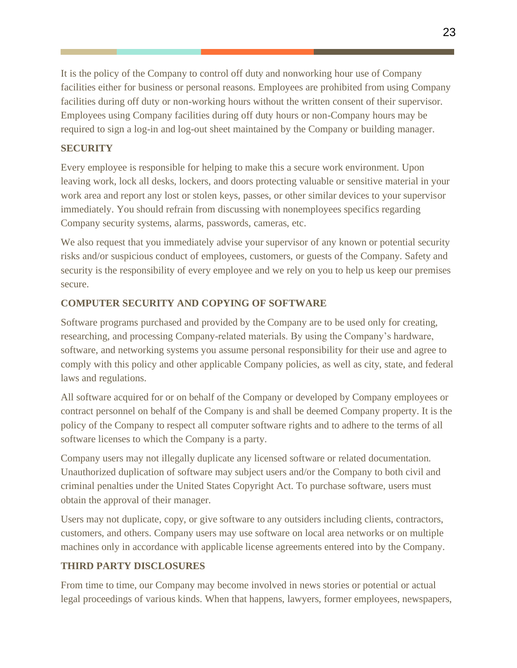It is the policy of the Company to control off duty and nonworking hour use of Company facilities either for business or personal reasons. Employees are prohibited from using Company facilities during off duty or non-working hours without the written consent of their supervisor. Employees using Company facilities during off duty hours or non-Company hours may be required to sign a log-in and log-out sheet maintained by the Company or building manager.

#### **SECURITY**

Every employee is responsible for helping to make this a secure work environment. Upon leaving work, lock all desks, lockers, and doors protecting valuable or sensitive material in your work area and report any lost or stolen keys, passes, or other similar devices to your supervisor immediately. You should refrain from discussing with nonemployees specifics regarding Company security systems, alarms, passwords, cameras, etc.

We also request that you immediately advise your supervisor of any known or potential security risks and/or suspicious conduct of employees, customers, or guests of the Company. Safety and security is the responsibility of every employee and we rely on you to help us keep our premises secure.

#### **COMPUTER SECURITY AND COPYING OF SOFTWARE**

Software programs purchased and provided by the Company are to be used only for creating, researching, and processing Company-related materials. By using the Company's hardware, software, and networking systems you assume personal responsibility for their use and agree to comply with this policy and other applicable Company policies, as well as city, state, and federal laws and regulations.

All software acquired for or on behalf of the Company or developed by Company employees or contract personnel on behalf of the Company is and shall be deemed Company property. It is the policy of the Company to respect all computer software rights and to adhere to the terms of all software licenses to which the Company is a party.

Company users may not illegally duplicate any licensed software or related documentation. Unauthorized duplication of software may subject users and/or the Company to both civil and criminal penalties under the United States Copyright Act. To purchase software, users must obtain the approval of their manager.

Users may not duplicate, copy, or give software to any outsiders including clients, contractors, customers, and others. Company users may use software on local area networks or on multiple machines only in accordance with applicable license agreements entered into by the Company.

#### **THIRD PARTY DISCLOSURES**

From time to time, our Company may become involved in news stories or potential or actual legal proceedings of various kinds. When that happens, lawyers, former employees, newspapers,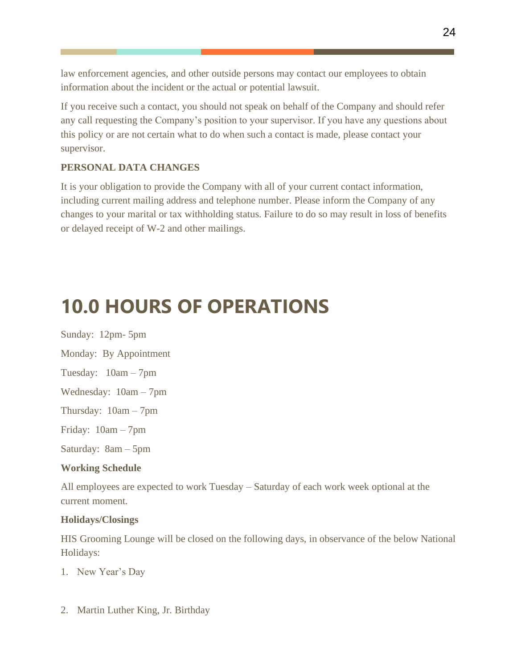law enforcement agencies, and other outside persons may contact our employees to obtain information about the incident or the actual or potential lawsuit.

If you receive such a contact, you should not speak on behalf of the Company and should refer any call requesting the Company's position to your supervisor. If you have any questions about this policy or are not certain what to do when such a contact is made, please contact your supervisor.

#### **PERSONAL DATA CHANGES**

It is your obligation to provide the Company with all of your current contact information, including current mailing address and telephone number. Please inform the Company of any changes to your marital or tax withholding status. Failure to do so may result in loss of benefits or delayed receipt of W-2 and other mailings.

# <span id="page-24-0"></span>**10.0 HOURS OF OPERATIONS**

Sunday: 12pm- 5pm Monday: By Appointment Tuesday: 10am – 7pm Wednesday: 10am – 7pm Thursday: 10am – 7pm Friday: 10am – 7pm Saturday: 8am – 5pm

#### **Working Schedule**

All employees are expected to work Tuesday – Saturday of each work week optional at the current moment.

#### **Holidays/Closings**

HIS Grooming Lounge will be closed on the following days, in observance of the below National Holidays:

- 1. New Year's Day
- 2. Martin Luther King, Jr. Birthday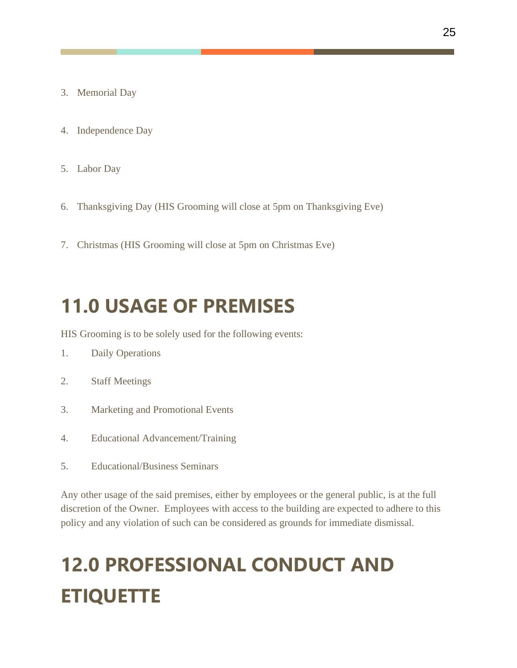- 3. Memorial Day
- 4. Independence Day
- 5. Labor Day
- 6. Thanksgiving Day (HIS Grooming will close at 5pm on Thanksgiving Eve)
- 7. Christmas (HIS Grooming will close at 5pm on Christmas Eve)

### <span id="page-25-0"></span>**11.0 USAGE OF PREMISES**

HIS Grooming is to be solely used for the following events:

- 1. Daily Operations
- 2. Staff Meetings
- 3. Marketing and Promotional Events
- 4. Educational Advancement/Training
- 5. Educational/Business Seminars

Any other usage of the said premises, either by employees or the general public, is at the full discretion of the Owner. Employees with access to the building are expected to adhere to this policy and any violation of such can be considered as grounds for immediate dismissal.

# **12.0 PROFESSIONAL CONDUCT AND ETIQUETTE**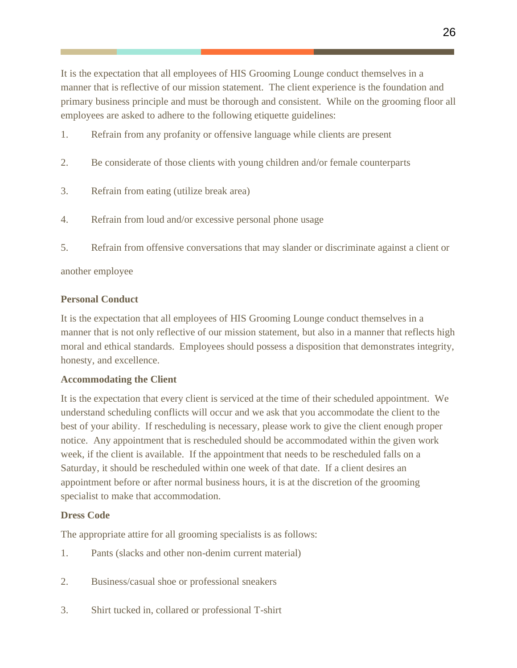It is the expectation that all employees of HIS Grooming Lounge conduct themselves in a manner that is reflective of our mission statement. The client experience is the foundation and primary business principle and must be thorough and consistent. While on the grooming floor all employees are asked to adhere to the following etiquette guidelines:

- 1. Refrain from any profanity or offensive language while clients are present
- 2. Be considerate of those clients with young children and/or female counterparts
- 3. Refrain from eating (utilize break area)
- 4. Refrain from loud and/or excessive personal phone usage
- 5. Refrain from offensive conversations that may slander or discriminate against a client or

another employee

#### **Personal Conduct**

It is the expectation that all employees of HIS Grooming Lounge conduct themselves in a manner that is not only reflective of our mission statement, but also in a manner that reflects high moral and ethical standards. Employees should possess a disposition that demonstrates integrity, honesty, and excellence.

#### **Accommodating the Client**

It is the expectation that every client is serviced at the time of their scheduled appointment. We understand scheduling conflicts will occur and we ask that you accommodate the client to the best of your ability. If rescheduling is necessary, please work to give the client enough proper notice. Any appointment that is rescheduled should be accommodated within the given work week, if the client is available. If the appointment that needs to be rescheduled falls on a Saturday, it should be rescheduled within one week of that date. If a client desires an appointment before or after normal business hours, it is at the discretion of the grooming specialist to make that accommodation.

#### **Dress Code**

The appropriate attire for all grooming specialists is as follows:

- 1. Pants (slacks and other non-denim current material)
- 2. Business/casual shoe or professional sneakers
- 3. Shirt tucked in, collared or professional T-shirt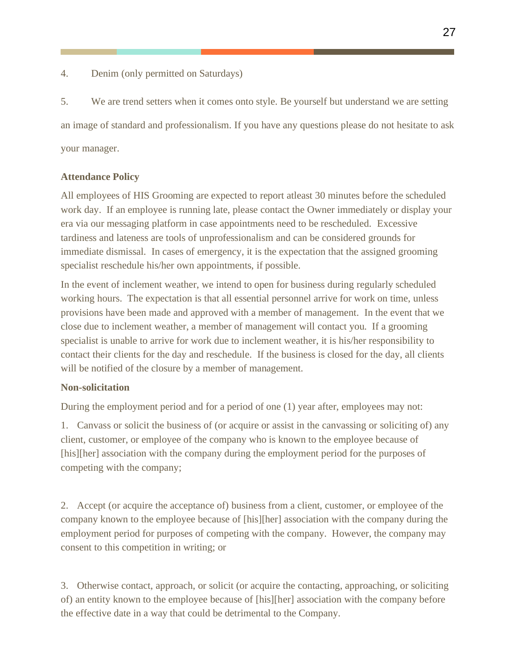4. Denim (only permitted on Saturdays)

5. We are trend setters when it comes onto style. Be yourself but understand we are setting an image of standard and professionalism. If you have any questions please do not hesitate to ask your manager.

#### **Attendance Policy**

All employees of HIS Grooming are expected to report atleast 30 minutes before the scheduled work day. If an employee is running late, please contact the Owner immediately or display your era via our messaging platform in case appointments need to be rescheduled. Excessive tardiness and lateness are tools of unprofessionalism and can be considered grounds for immediate dismissal. In cases of emergency, it is the expectation that the assigned grooming specialist reschedule his/her own appointments, if possible.

In the event of inclement weather, we intend to open for business during regularly scheduled working hours. The expectation is that all essential personnel arrive for work on time, unless provisions have been made and approved with a member of management. In the event that we close due to inclement weather, a member of management will contact you. If a grooming specialist is unable to arrive for work due to inclement weather, it is his/her responsibility to contact their clients for the day and reschedule. If the business is closed for the day, all clients will be notified of the closure by a member of management.

#### **Non-solicitation**

During the employment period and for a period of one (1) year after, employees may not:

1. Canvass or solicit the business of (or acquire or assist in the canvassing or soliciting of) any client, customer, or employee of the company who is known to the employee because of [his][her] association with the company during the employment period for the purposes of competing with the company;

2. Accept (or acquire the acceptance of) business from a client, customer, or employee of the company known to the employee because of [his][her] association with the company during the employment period for purposes of competing with the company. However, the company may consent to this competition in writing; or

3. Otherwise contact, approach, or solicit (or acquire the contacting, approaching, or soliciting of) an entity known to the employee because of [his][her] association with the company before the effective date in a way that could be detrimental to the Company.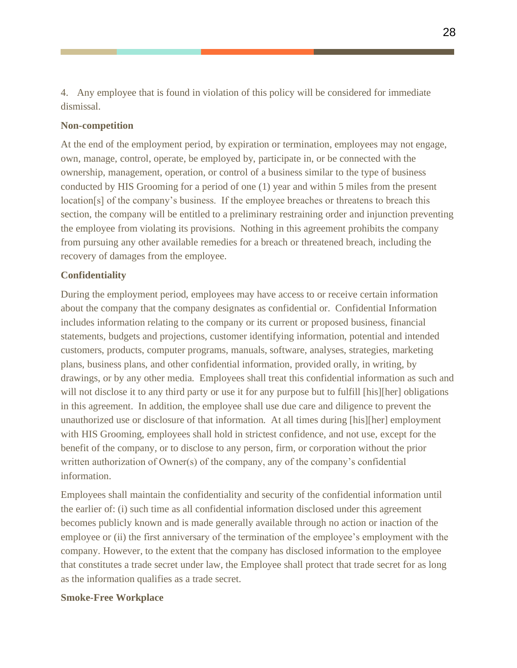4. Any employee that is found in violation of this policy will be considered for immediate dismissal.

#### **Non-competition**

At the end of the employment period, by expiration or termination, employees may not engage, own, manage, control, operate, be employed by, participate in, or be connected with the ownership, management, operation, or control of a business similar to the type of business conducted by HIS Grooming for a period of one (1) year and within 5 miles from the present location[s] of the company's business. If the employee breaches or threatens to breach this section, the company will be entitled to a preliminary restraining order and injunction preventing the employee from violating its provisions. Nothing in this agreement prohibits the company from pursuing any other available remedies for a breach or threatened breach, including the recovery of damages from the employee.

#### **Confidentiality**

During the employment period, employees may have access to or receive certain information about the company that the company designates as confidential or. Confidential Information includes information relating to the company or its current or proposed business, financial statements, budgets and projections, customer identifying information, potential and intended customers, products, computer programs, manuals, software, analyses, strategies, marketing plans, business plans, and other confidential information, provided orally, in writing, by drawings, or by any other media. Employees shall treat this confidential information as such and will not disclose it to any third party or use it for any purpose but to fulfill [his][her] obligations in this agreement. In addition, the employee shall use due care and diligence to prevent the unauthorized use or disclosure of that information. At all times during [his][her] employment with HIS Grooming, employees shall hold in strictest confidence, and not use, except for the benefit of the company, or to disclose to any person, firm, or corporation without the prior written authorization of Owner(s) of the company, any of the company's confidential information.

Employees shall maintain the confidentiality and security of the confidential information until the earlier of: (i) such time as all confidential information disclosed under this agreement becomes publicly known and is made generally available through no action or inaction of the employee or (ii) the first anniversary of the termination of the employee's employment with the company. However, to the extent that the company has disclosed information to the employee that constitutes a trade secret under law, the Employee shall protect that trade secret for as long as the information qualifies as a trade secret.

#### **Smoke-Free Workplace**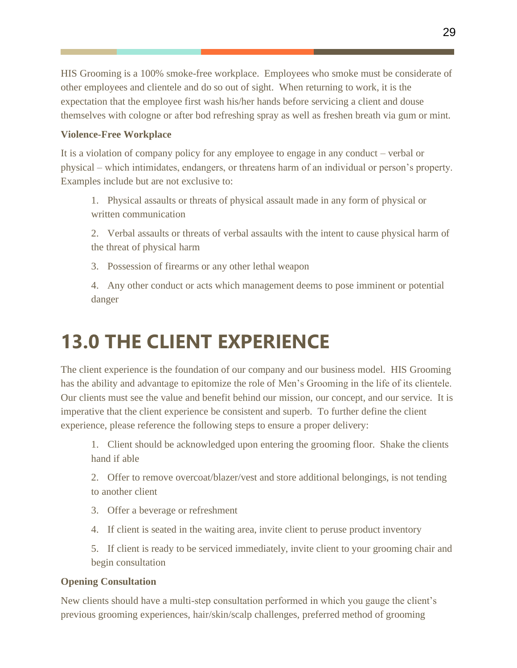HIS Grooming is a 100% smoke-free workplace. Employees who smoke must be considerate of other employees and clientele and do so out of sight. When returning to work, it is the expectation that the employee first wash his/her hands before servicing a client and douse themselves with cologne or after bod refreshing spray as well as freshen breath via gum or mint.

#### **Violence-Free Workplace**

It is a violation of company policy for any employee to engage in any conduct – verbal or physical – which intimidates, endangers, or threatens harm of an individual or person's property. Examples include but are not exclusive to:

- 1. Physical assaults or threats of physical assault made in any form of physical or written communication
- 2. Verbal assaults or threats of verbal assaults with the intent to cause physical harm of the threat of physical harm
- 3. Possession of firearms or any other lethal weapon
- 4. Any other conduct or acts which management deems to pose imminent or potential danger

# **13.0 THE CLIENT EXPERIENCE**

The client experience is the foundation of our company and our business model. HIS Grooming has the ability and advantage to epitomize the role of Men's Grooming in the life of its clientele. Our clients must see the value and benefit behind our mission, our concept, and our service. It is imperative that the client experience be consistent and superb. To further define the client experience, please reference the following steps to ensure a proper delivery:

1. Client should be acknowledged upon entering the grooming floor. Shake the clients hand if able

2. Offer to remove overcoat/blazer/vest and store additional belongings, is not tending to another client

- 3. Offer a beverage or refreshment
- 4. If client is seated in the waiting area, invite client to peruse product inventory

5. If client is ready to be serviced immediately, invite client to your grooming chair and begin consultation

#### **Opening Consultation**

New clients should have a multi-step consultation performed in which you gauge the client's previous grooming experiences, hair/skin/scalp challenges, preferred method of grooming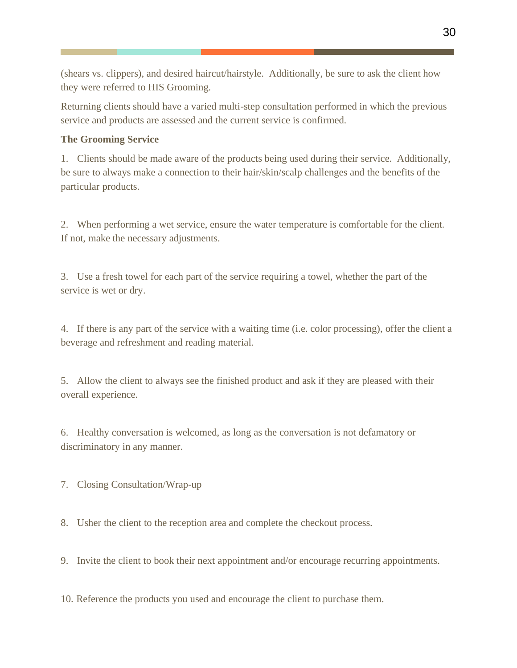(shears vs. clippers), and desired haircut/hairstyle. Additionally, be sure to ask the client how they were referred to HIS Grooming.

Returning clients should have a varied multi-step consultation performed in which the previous service and products are assessed and the current service is confirmed.

#### **The Grooming Service**

1. Clients should be made aware of the products being used during their service. Additionally, be sure to always make a connection to their hair/skin/scalp challenges and the benefits of the particular products.

2. When performing a wet service, ensure the water temperature is comfortable for the client. If not, make the necessary adjustments.

3. Use a fresh towel for each part of the service requiring a towel, whether the part of the service is wet or dry.

4. If there is any part of the service with a waiting time (i.e. color processing), offer the client a beverage and refreshment and reading material.

5. Allow the client to always see the finished product and ask if they are pleased with their overall experience.

6. Healthy conversation is welcomed, as long as the conversation is not defamatory or discriminatory in any manner.

7. Closing Consultation/Wrap-up

8. Usher the client to the reception area and complete the checkout process.

9. Invite the client to book their next appointment and/or encourage recurring appointments.

10. Reference the products you used and encourage the client to purchase them.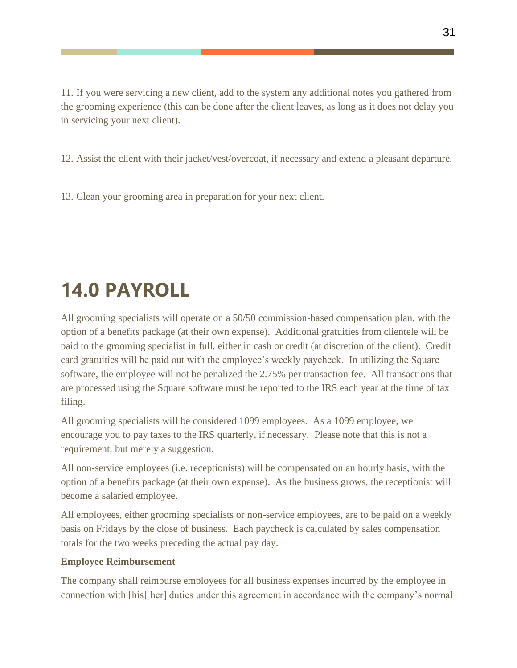11. If you were servicing a new client, add to the system any additional notes you gathered from the grooming experience (this can be done after the client leaves, as long as it does not delay you in servicing your next client).

12. Assist the client with their jacket/vest/overcoat, if necessary and extend a pleasant departure.

13. Clean your grooming area in preparation for your next client.

# <span id="page-31-0"></span>**14.0 PAYROLL**

All grooming specialists will operate on a 50/50 commission-based compensation plan, with the option of a benefits package (at their own expense). Additional gratuities from clientele will be paid to the grooming specialist in full, either in cash or credit (at discretion of the client). Credit card gratuities will be paid out with the employee's weekly paycheck. In utilizing the Square software, the employee will not be penalized the 2.75% per transaction fee. All transactions that are processed using the Square software must be reported to the IRS each year at the time of tax filing.

All grooming specialists will be considered 1099 employees. As a 1099 employee, we encourage you to pay taxes to the IRS quarterly, if necessary. Please note that this is not a requirement, but merely a suggestion.

All non-service employees (i.e. receptionists) will be compensated on an hourly basis, with the option of a benefits package (at their own expense). As the business grows, the receptionist will become a salaried employee.

All employees, either grooming specialists or non-service employees, are to be paid on a weekly basis on Fridays by the close of business. Each paycheck is calculated by sales compensation totals for the two weeks preceding the actual pay day.

#### **Employee Reimbursement**

The company shall reimburse employees for all business expenses incurred by the employee in connection with [his][her] duties under this agreement in accordance with the company's normal